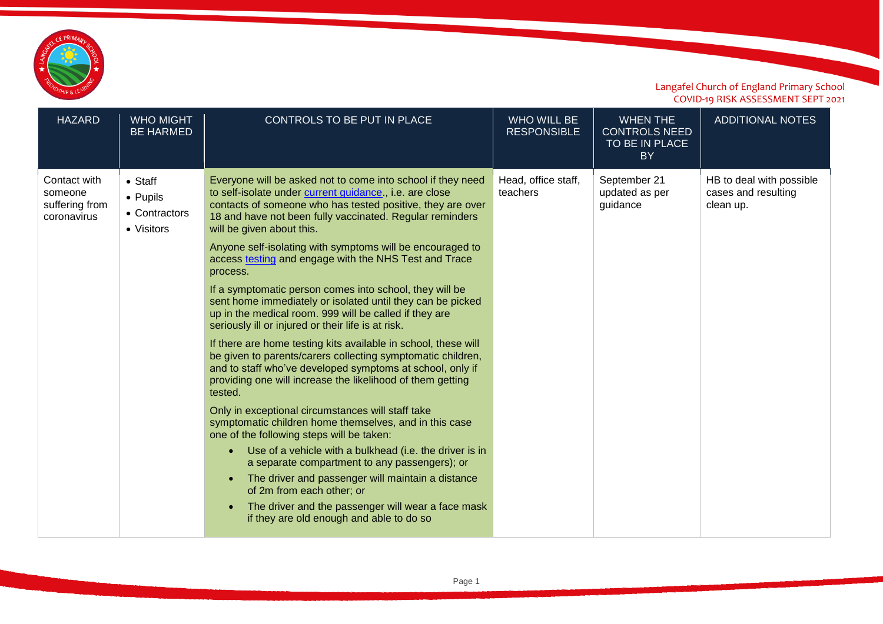

| <b>HAZARD</b>                                            | <b>WHO MIGHT</b><br><b>BE HARMED</b>                       | CONTROLS TO BE PUT IN PLACE                                                                                                                                                                                                                                                                                                                                                                                                                                                                                                                                                                                                                                                                                                                                                                                                                                                                                                                                                                                                                                                                                                                                                                                                                                                                                                                                                                              | <b>WHO WILL BE</b><br><b>RESPONSIBLE</b> | <b>WHEN THE</b><br><b>CONTROLS NEED</b><br>TO BE IN PLACE<br><b>BY</b> | <b>ADDITIONAL NOTES</b>                                      |
|----------------------------------------------------------|------------------------------------------------------------|----------------------------------------------------------------------------------------------------------------------------------------------------------------------------------------------------------------------------------------------------------------------------------------------------------------------------------------------------------------------------------------------------------------------------------------------------------------------------------------------------------------------------------------------------------------------------------------------------------------------------------------------------------------------------------------------------------------------------------------------------------------------------------------------------------------------------------------------------------------------------------------------------------------------------------------------------------------------------------------------------------------------------------------------------------------------------------------------------------------------------------------------------------------------------------------------------------------------------------------------------------------------------------------------------------------------------------------------------------------------------------------------------------|------------------------------------------|------------------------------------------------------------------------|--------------------------------------------------------------|
| Contact with<br>someone<br>suffering from<br>coronavirus | $\bullet$ Staff<br>• Pupils<br>• Contractors<br>• Visitors | Everyone will be asked not to come into school if they need<br>to self-isolate under current guidance., i.e. are close<br>contacts of someone who has tested positive, they are over<br>18 and have not been fully vaccinated. Regular reminders<br>will be given about this.<br>Anyone self-isolating with symptoms will be encouraged to<br>access testing and engage with the NHS Test and Trace<br>process.<br>If a symptomatic person comes into school, they will be<br>sent home immediately or isolated until they can be picked<br>up in the medical room. 999 will be called if they are<br>seriously ill or injured or their life is at risk.<br>If there are home testing kits available in school, these will<br>be given to parents/carers collecting symptomatic children,<br>and to staff who've developed symptoms at school, only if<br>providing one will increase the likelihood of them getting<br>tested.<br>Only in exceptional circumstances will staff take<br>symptomatic children home themselves, and in this case<br>one of the following steps will be taken:<br>Use of a vehicle with a bulkhead (i.e. the driver is in<br>$\bullet$<br>a separate compartment to any passengers); or<br>The driver and passenger will maintain a distance<br>of 2m from each other; or<br>The driver and the passenger will wear a face mask<br>if they are old enough and able to do so | Head, office staff,<br>teachers          | September 21<br>updated as per<br>guidance                             | HB to deal with possible<br>cases and resulting<br>clean up. |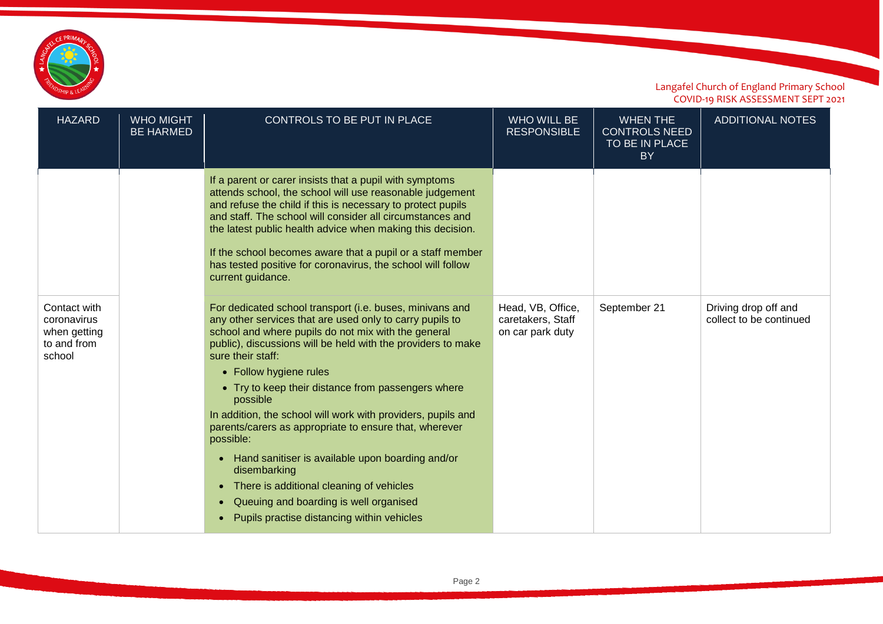

| <b>HAZARD</b>                                                        | <b>WHO MIGHT</b><br><b>BE HARMED</b> | CONTROLS TO BE PUT IN PLACE                                                                                                                                                                                                                                                                                                                                                                                                                                                                                                                                                                                                                                                                                                                                     | <b>WHO WILL BE</b><br><b>RESPONSIBLE</b>                   | <b>WHEN THE</b><br><b>CONTROLS NEED</b><br>TO BE IN PLACE<br><b>BY</b> | <b>ADDITIONAL NOTES</b>                         |
|----------------------------------------------------------------------|--------------------------------------|-----------------------------------------------------------------------------------------------------------------------------------------------------------------------------------------------------------------------------------------------------------------------------------------------------------------------------------------------------------------------------------------------------------------------------------------------------------------------------------------------------------------------------------------------------------------------------------------------------------------------------------------------------------------------------------------------------------------------------------------------------------------|------------------------------------------------------------|------------------------------------------------------------------------|-------------------------------------------------|
|                                                                      |                                      | If a parent or carer insists that a pupil with symptoms<br>attends school, the school will use reasonable judgement<br>and refuse the child if this is necessary to protect pupils<br>and staff. The school will consider all circumstances and<br>the latest public health advice when making this decision.<br>If the school becomes aware that a pupil or a staff member<br>has tested positive for coronavirus, the school will follow<br>current guidance.                                                                                                                                                                                                                                                                                                 |                                                            |                                                                        |                                                 |
| Contact with<br>coronavirus<br>when getting<br>to and from<br>school |                                      | For dedicated school transport (i.e. buses, minivans and<br>any other services that are used only to carry pupils to<br>school and where pupils do not mix with the general<br>public), discussions will be held with the providers to make<br>sure their staff:<br>• Follow hygiene rules<br>• Try to keep their distance from passengers where<br>possible<br>In addition, the school will work with providers, pupils and<br>parents/carers as appropriate to ensure that, wherever<br>possible:<br>Hand sanitiser is available upon boarding and/or<br>$\bullet$<br>disembarking<br>There is additional cleaning of vehicles<br>$\bullet$<br>Queuing and boarding is well organised<br>$\bullet$<br>Pupils practise distancing within vehicles<br>$\bullet$ | Head, VB, Office,<br>caretakers, Staff<br>on car park duty | September 21                                                           | Driving drop off and<br>collect to be continued |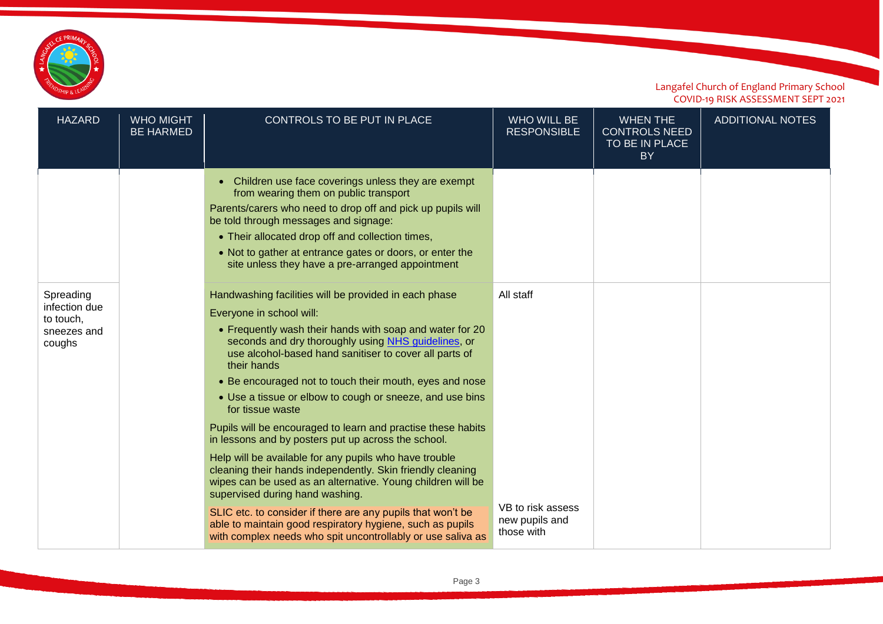

| <b>HAZARD</b>                                                    | <b>WHO MIGHT</b><br><b>BE HARMED</b> | CONTROLS TO BE PUT IN PLACE                                                                                                                                                                                                                                                                                                                                                                                                                                                                                                              | <b>WHO WILL BE</b><br><b>RESPONSIBLE</b>          | <b>WHEN THE</b><br><b>CONTROLS NEED</b><br>TO BE IN PLACE<br><b>BY</b> | <b>ADDITIONAL NOTES</b> |
|------------------------------------------------------------------|--------------------------------------|------------------------------------------------------------------------------------------------------------------------------------------------------------------------------------------------------------------------------------------------------------------------------------------------------------------------------------------------------------------------------------------------------------------------------------------------------------------------------------------------------------------------------------------|---------------------------------------------------|------------------------------------------------------------------------|-------------------------|
|                                                                  |                                      | Children use face coverings unless they are exempt<br>$\bullet$<br>from wearing them on public transport<br>Parents/carers who need to drop off and pick up pupils will<br>be told through messages and signage:<br>• Their allocated drop off and collection times,<br>• Not to gather at entrance gates or doors, or enter the<br>site unless they have a pre-arranged appointment                                                                                                                                                     |                                                   |                                                                        |                         |
| Spreading<br>infection due<br>to touch,<br>sneezes and<br>coughs |                                      | Handwashing facilities will be provided in each phase<br>Everyone in school will:<br>• Frequently wash their hands with soap and water for 20<br>seconds and dry thoroughly using NHS guidelines, or<br>use alcohol-based hand sanitiser to cover all parts of<br>their hands<br>• Be encouraged not to touch their mouth, eyes and nose<br>• Use a tissue or elbow to cough or sneeze, and use bins<br>for tissue waste                                                                                                                 | All staff                                         |                                                                        |                         |
|                                                                  |                                      | Pupils will be encouraged to learn and practise these habits<br>in lessons and by posters put up across the school.<br>Help will be available for any pupils who have trouble<br>cleaning their hands independently. Skin friendly cleaning<br>wipes can be used as an alternative. Young children will be<br>supervised during hand washing.<br>SLIC etc. to consider if there are any pupils that won't be<br>able to maintain good respiratory hygiene, such as pupils<br>with complex needs who spit uncontrollably or use saliva as | VB to risk assess<br>new pupils and<br>those with |                                                                        |                         |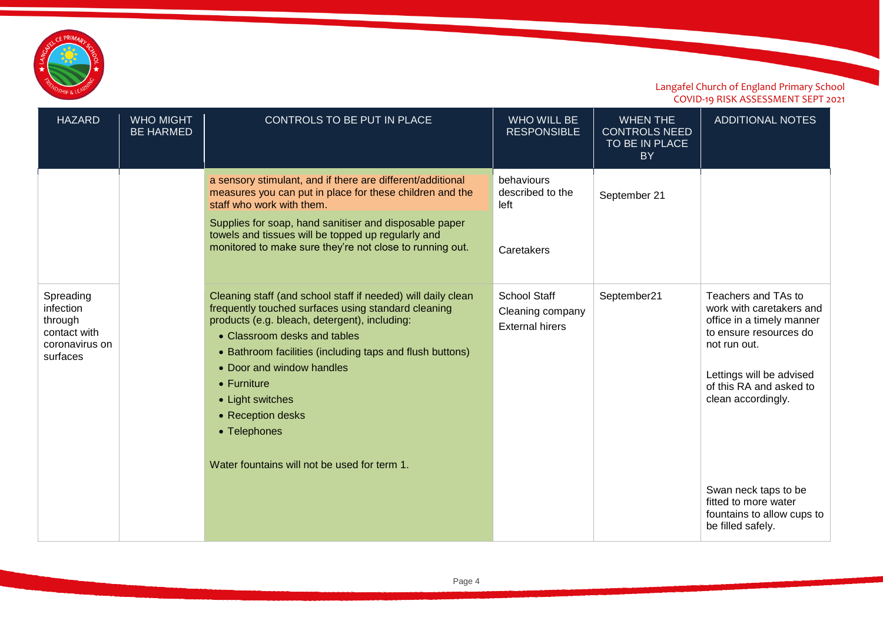

| <b>HAZARD</b>                                                                   | <b>WHO MIGHT</b><br><b>BE HARMED</b> | CONTROLS TO BE PUT IN PLACE                                                                                                                                                                                                                                                                                                                                                                                           | <b>WHO WILL BE</b><br><b>RESPONSIBLE</b>                          | <b>WHEN THE</b><br><b>CONTROLS NEED</b><br>TO BE IN PLACE<br><b>BY</b> | <b>ADDITIONAL NOTES</b>                                                                                                                                                                                                                                                                                |
|---------------------------------------------------------------------------------|--------------------------------------|-----------------------------------------------------------------------------------------------------------------------------------------------------------------------------------------------------------------------------------------------------------------------------------------------------------------------------------------------------------------------------------------------------------------------|-------------------------------------------------------------------|------------------------------------------------------------------------|--------------------------------------------------------------------------------------------------------------------------------------------------------------------------------------------------------------------------------------------------------------------------------------------------------|
|                                                                                 |                                      | a sensory stimulant, and if there are different/additional<br>measures you can put in place for these children and the<br>staff who work with them.<br>Supplies for soap, hand sanitiser and disposable paper<br>towels and tissues will be topped up regularly and<br>monitored to make sure they're not close to running out.                                                                                       | behaviours<br>described to the<br>left<br>Caretakers              | September 21                                                           |                                                                                                                                                                                                                                                                                                        |
| Spreading<br>infection<br>through<br>contact with<br>coronavirus on<br>surfaces |                                      | Cleaning staff (and school staff if needed) will daily clean<br>frequently touched surfaces using standard cleaning<br>products (e.g. bleach, detergent), including:<br>• Classroom desks and tables<br>• Bathroom facilities (including taps and flush buttons)<br>• Door and window handles<br>• Furniture<br>• Light switches<br>• Reception desks<br>• Telephones<br>Water fountains will not be used for term 1. | <b>School Staff</b><br>Cleaning company<br><b>External hirers</b> | September21                                                            | Teachers and TAs to<br>work with caretakers and<br>office in a timely manner<br>to ensure resources do<br>not run out.<br>Lettings will be advised<br>of this RA and asked to<br>clean accordingly.<br>Swan neck taps to be<br>fitted to more water<br>fountains to allow cups to<br>be filled safely. |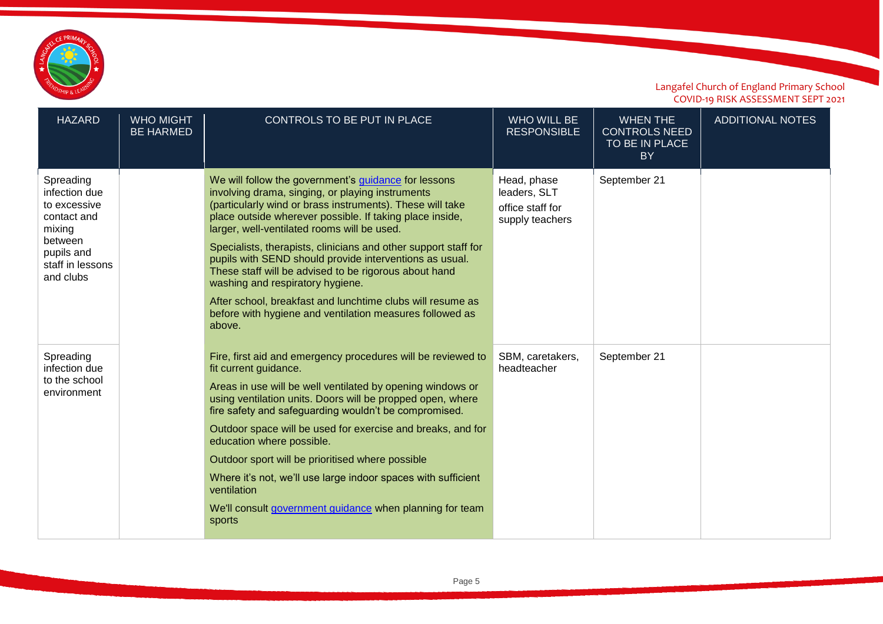

| <b>HAZARD</b>                                                                                                                 | <b>WHO MIGHT</b><br><b>BE HARMED</b> | CONTROLS TO BE PUT IN PLACE                                                                                                                                                                                                                                                                                                                                                                                                                                                                                                                                                                                                                     | <b>WHO WILL BE</b><br><b>RESPONSIBLE</b>                           | <b>WHEN THE</b><br><b>CONTROLS NEED</b><br>TO BE IN PLACE<br><b>BY</b> | <b>ADDITIONAL NOTES</b> |
|-------------------------------------------------------------------------------------------------------------------------------|--------------------------------------|-------------------------------------------------------------------------------------------------------------------------------------------------------------------------------------------------------------------------------------------------------------------------------------------------------------------------------------------------------------------------------------------------------------------------------------------------------------------------------------------------------------------------------------------------------------------------------------------------------------------------------------------------|--------------------------------------------------------------------|------------------------------------------------------------------------|-------------------------|
| Spreading<br>infection due<br>to excessive<br>contact and<br>mixing<br>between<br>pupils and<br>staff in lessons<br>and clubs |                                      | We will follow the government's guidance for lessons<br>involving drama, singing, or playing instruments<br>(particularly wind or brass instruments). These will take<br>place outside wherever possible. If taking place inside,<br>larger, well-ventilated rooms will be used.<br>Specialists, therapists, clinicians and other support staff for<br>pupils with SEND should provide interventions as usual.<br>These staff will be advised to be rigorous about hand<br>washing and respiratory hygiene.<br>After school, breakfast and lunchtime clubs will resume as<br>before with hygiene and ventilation measures followed as<br>above. | Head, phase<br>leaders, SLT<br>office staff for<br>supply teachers | September 21                                                           |                         |
| Spreading<br>infection due<br>to the school<br>environment                                                                    |                                      | Fire, first aid and emergency procedures will be reviewed to<br>fit current guidance.<br>Areas in use will be well ventilated by opening windows or<br>using ventilation units. Doors will be propped open, where<br>fire safety and safeguarding wouldn't be compromised.<br>Outdoor space will be used for exercise and breaks, and for<br>education where possible.<br>Outdoor sport will be prioritised where possible<br>Where it's not, we'll use large indoor spaces with sufficient<br>ventilation<br>We'll consult government guidance when planning for team<br>sports                                                                | SBM, caretakers,<br>headteacher                                    | September 21                                                           |                         |